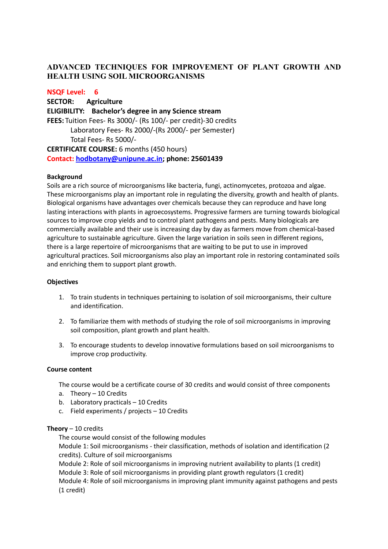# **ADVANCED TECHNIQUES FOR IMPROVEMENT OF PLANT GROWTH AND HEALTH USING SOIL MICROORGANISMS**

## **NSQF Level: 6**

**SECTOR: Agriculture ELIGIBILITY: Bachelor's degree in any Science stream FEES:** Tuition Fees- Rs 3000/- (Rs 100/- per credit)-30 credits Laboratory Fees- Rs 2000/-(Rs 2000/- per Semester) Total Fees- Rs 5000/- **CERTIFICATE COURSE:** 6 months (450 hours) **Contact: [hodbotany@unipune.ac.in;](mailto:hodbotany@unipune.ac.in) phone: 25601439**

#### **Background**

Soils are a rich source of microorganisms like bacteria, fungi, actinomycetes, protozoa and algae. These microorganisms play an important role in regulating the diversity, growth and health of plants. Biological organisms have advantages over chemicals because they can reproduce and have long lasting interactions with plants in agroecosystems. Progressive farmers are turning towards biological sources to improve crop yields and to control plant pathogens and pests. Many biologicals are commercially available and their use is increasing day by day as farmers move from chemical-based agriculture to sustainable agriculture. Given the large variation in soils seen in different regions, there is a large repertoire of microorganisms that are waiting to be put to use in improved agricultural practices. Soil microorganisms also play an important role in restoring contaminated soils and enriching them to support plant growth.

### **Objectives**

- 1. To train students in techniques pertaining to isolation of soil microorganisms, their culture and identification.
- 2. To familiarize them with methods of studying the role of soil microorganisms in improving soil composition, plant growth and plant health.
- 3. To encourage students to develop innovative formulations based on soil microorganisms to improve crop productivity.

#### **Course content**

The course would be a certificate course of 30 credits and would consist of three components

- a. Theory 10 Credits
- b. Laboratory practicals 10 Credits
- c. Field experiments / projects 10 Credits

#### **Theory** – 10 credits

The course would consist of the following modules

Module 1: Soil microorganisms - their classification, methods of isolation and identification (2 credits). Culture of soil microorganisms

Module 2: Role of soil microorganisms in improving nutrient availability to plants (1 credit) Module 3: Role of soil microorganisms in providing plant growth regulators (1 credit) Module 4: Role of soil microorganisms in improving plant immunity against pathogens and pests (1 credit)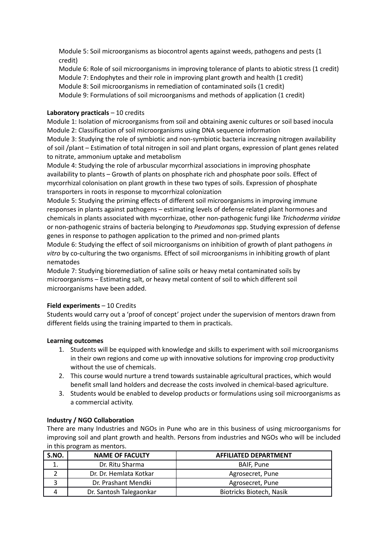Module 5: Soil microorganisms as biocontrol agents against weeds, pathogens and pests (1 credit)

Module 6: Role of soil microorganisms in improving tolerance of plants to abiotic stress (1 credit) Module 7: Endophytes and their role in improving plant growth and health (1 credit) Module 8: Soil microorganisms in remediation of contaminated soils (1 credit) Module 9: Formulations of soil microorganisms and methods of application (1 credit)

## **Laboratory practicals** – 10 credits

Module 1: Isolation of microorganisms from soil and obtaining axenic cultures or soil based inocula Module 2: Classification of soil microorganisms using DNA sequence information

Module 3: Studying the role of symbiotic and non-symbiotic bacteria increasing nitrogen availability of soil /plant – Estimation of total nitrogen in soil and plant organs, expression of plant genes related to nitrate, ammonium uptake and metabolism

Module 4: Studying the role of arbuscular mycorrhizal associations in improving phosphate availability to plants – Growth of plants on phosphate rich and phosphate poor soils. Effect of mycorrhizal colonisation on plant growth in these two types of soils. Expression of phosphate transporters in roots in response to mycorrhizal colonization

Module 5: Studying the priming effects of different soil microorganisms in improving immune responses in plants against pathogens – estimating levels of defense related plant hormones and chemicals in plants associated with mycorrhizae, other non-pathogenic fungi like *Trichoderma viridae* or non-pathogenic strains of bacteria belonging to *Pseudomonas* spp. Studying expression of defense genes in response to pathogen application to the primed and non-primed plants

Module 6: Studying the effect of soil microorganisms on inhibition of growth of plant pathogens *in vitro* by co-culturing the two organisms. Effect of soil microorganisms in inhibiting growth of plant nematodes

Module 7: Studying bioremediation of saline soils or heavy metal contaminated soils by microorganisms – Estimating salt, or heavy metal content of soil to which different soil microorganisms have been added.

### **Field experiments** – 10 Credits

Students would carry out a 'proof of concept' project under the supervision of mentors drawn from different fields using the training imparted to them in practicals.

### **Learning outcomes**

- 1. Students will be equipped with knowledge and skills to experiment with soil microorganisms in their own regions and come up with innovative solutions for improving crop productivity without the use of chemicals.
- 2. This course would nurture a trend towards sustainable agricultural practices, which would benefit small land holders and decrease the costs involved in chemical-based agriculture.
- 3. Students would be enabled to develop products or formulations using soil microorganisms as a commercial activity.

## **Industry / NGO Collaboration**

There are many Industries and NGOs in Pune who are in this business of using microorganisms for improving soil and plant growth and health. Persons from industries and NGOs who will be included in this program as mentors.

| S.NO. | <b>NAME OF FACULTY</b>  | <b>AFFILIATED DEPARTMENT</b>    |
|-------|-------------------------|---------------------------------|
|       | Dr. Ritu Sharma         | BAIF, Pune                      |
|       | Dr. Dr. Hemlata Kotkar  | Agrosecret, Pune                |
|       | Dr. Prashant Mendki     | Agrosecret, Pune                |
|       | Dr. Santosh Talegaonkar | <b>Biotricks Biotech, Nasik</b> |